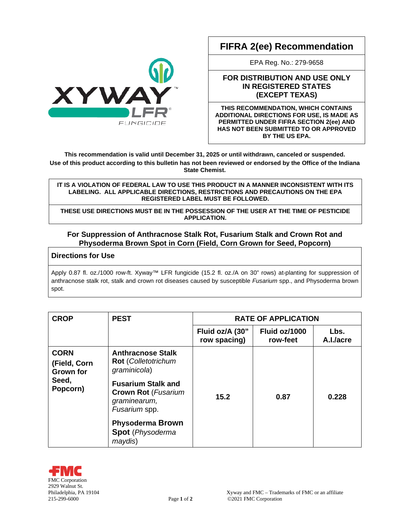# **FIFRA 2(ee) Recommendation**

EPA Reg. No.: 279-9658

## **FOR DISTRIBUTION AND USE ONLY IN REGISTERED STATES (EXCEPT TEXAS)**

**THIS RECOMMENDATION, WHICH CONTAINS ADDITIONAL DIRECTIONS FOR USE, IS MADE AS PERMITTED UNDER FIFRA SECTION 2(ee) AND HAS NOT BEEN SUBMITTED TO OR APPROVED BY THE US EPA.**

**This recommendation is valid until December 31, 2025 or until withdrawn, canceled or suspended. Use of this product according to this bulletin has not been reviewed or endorsed by the Office of the Indiana State Chemist.**

#### **IT IS A VIOLATION OF FEDERAL LAW TO USE THIS PRODUCT IN A MANNER INCONSISTENT WITH ITS LABELING. ALL APPLICABLE DIRECTIONS, RESTRICTIONS AND PRECAUTIONS ON THE EPA REGISTERED LABEL MUST BE FOLLOWED.**

**THESE USE DIRECTIONS MUST BE IN THE POSSESSION OF THE USER AT THE TIME OF PESTICIDE APPLICATION.**

### **For Suppression of Anthracnose Stalk Rot, Fusarium Stalk and Crown Rot and Physoderma Brown Spot in Corn (Field, Corn Grown for Seed, Popcorn)**

## **Directions for Use**

Apply 0.87 fl. oz./1000 row-ft. Xyway™ LFR fungicide (15.2 fl. oz./A on 30" rows) at-planting for suppression of anthracnose stalk rot, stalk and crown rot diseases caused by susceptible *Fusarium* spp., and Physoderma brown spot.

| <b>CROP</b>                                                          | <b>PEST</b>                                                                                                                                                                                                                  | <b>RATE OF APPLICATION</b>      |                           |                   |
|----------------------------------------------------------------------|------------------------------------------------------------------------------------------------------------------------------------------------------------------------------------------------------------------------------|---------------------------------|---------------------------|-------------------|
|                                                                      |                                                                                                                                                                                                                              | Fluid oz/A (30"<br>row spacing) | Fluid oz/1000<br>row-feet | Lbs.<br>A.I./acre |
| <b>CORN</b><br>(Field, Corn<br><b>Grown for</b><br>Seed,<br>Popcorn) | <b>Anthracnose Stalk</b><br>Rot (Colletotrichum<br>graminicola)<br><b>Fusarium Stalk and</b><br><b>Crown Rot (Fusarium</b><br>graminearum,<br>Fusarium spp.<br><b>Physoderma Brown</b><br><b>Spot</b> (Physoderma<br>maydis) | 15.2                            | 0.87                      | 0.228             |